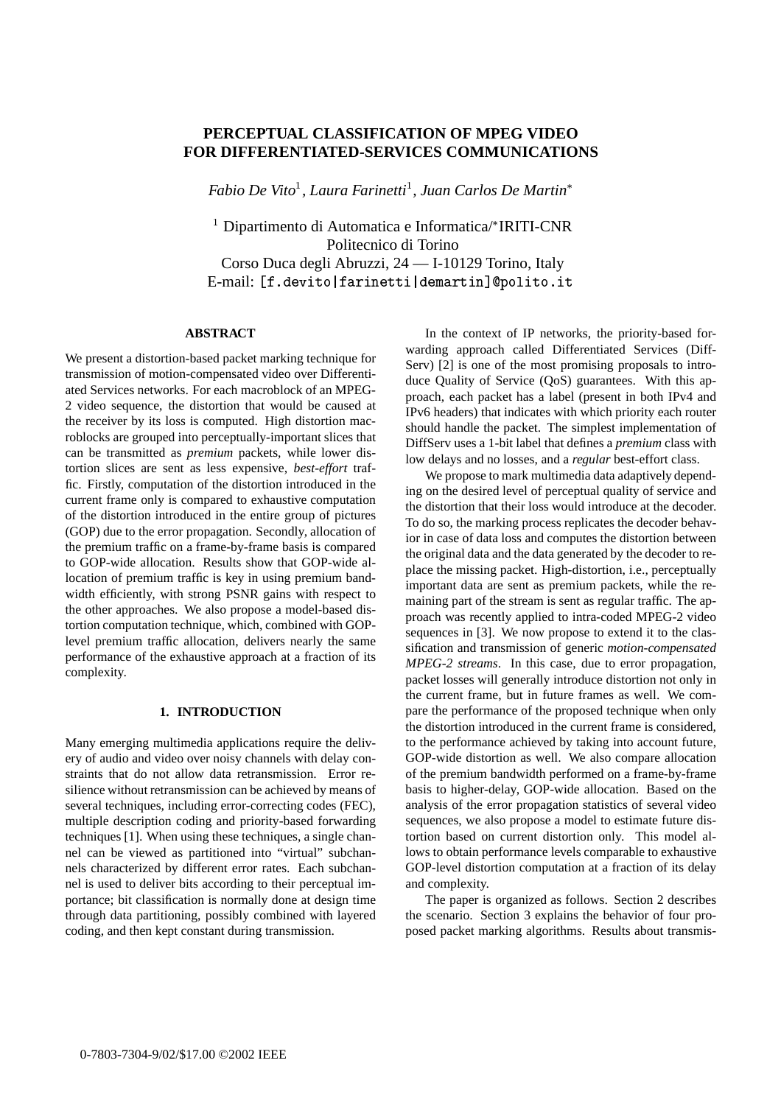# **PERCEPTUAL CLASSIFICATION OF MPEG VIDEO FOR DIFFERENTIATED-SERVICES COMMUNICATIONS**

*Fabio De Vito , Laura Farinetti , Juan Carlos De Martin*

<sup>1</sup> Dipartimento di Automatica e Informatica/\*IRITI-CNR Politecnico di Torino Corso Duca degli Abruzzi, 24 — I-10129 Torino, Italy E-mail: [f.devito|farinetti|demartin]@polito.it

#### **ABSTRACT**

We present a distortion-based packet marking technique for transmission of motion-compensated video over Differentiated Services networks. For each macroblock of an MPEG-2 video sequence, the distortion that would be caused at the receiver by its loss is computed. High distortion macroblocks are grouped into perceptually-important slices that can be transmitted as *premium* packets, while lower distortion slices are sent as less expensive, *best-effort* traffic. Firstly, computation of the distortion introduced in the current frame only is compared to exhaustive computation of the distortion introduced in the entire group of pictures (GOP) due to the error propagation. Secondly, allocation of the premium traffic on a frame-by-frame basis is compared to GOP-wide allocation. Results show that GOP-wide allocation of premium traffic is key in using premium bandwidth efficiently, with strong PSNR gains with respect to the other approaches. We also propose a model-based distortion computation technique, which, combined with GOPlevel premium traffic allocation, delivers nearly the same performance of the exhaustive approach at a fraction of its complexity.

# **1. INTRODUCTION**

Many emerging multimedia applications require the delivery of audio and video over noisy channels with delay constraints that do not allow data retransmission. Error resilience without retransmission can be achieved by means of several techniques, including error-correcting codes (FEC), multiple description coding and priority-based forwarding techniques [1]. When using these techniques, a single channel can be viewed as partitioned into "virtual" subchannels characterized by different error rates. Each subchannel is used to deliver bits according to their perceptual importance; bit classification is normally done at design time through data partitioning, possibly combined with layered coding, and then kept constant during transmission.

In the context of IP networks, the priority-based forwarding approach called Differentiated Services (Diff-Serv) [2] is one of the most promising proposals to introduce Quality of Service (QoS) guarantees. With this approach, each packet has a label (present in both IPv4 and IPv6 headers) that indicates with which priority each router should handle the packet. The simplest implementation of DiffServ uses a 1-bit label that defines a *premium* class with low delays and no losses, and a *regular* best-effort class.

We propose to mark multimedia data adaptively depending on the desired level of perceptual quality of service and the distortion that their loss would introduce at the decoder. To do so, the marking process replicates the decoder behavior in case of data loss and computes the distortion between the original data and the data generated by the decoder to replace the missing packet. High-distortion, i.e., perceptually important data are sent as premium packets, while the remaining part of the stream is sent as regular traffic. The approach was recently applied to intra-coded MPEG-2 video sequences in [3]. We now propose to extend it to the classification and transmission of generic *motion-compensated MPEG-2 streams*. In this case, due to error propagation, packet losses will generally introduce distortion not only in the current frame, but in future frames as well. We compare the performance of the proposed technique when only the distortion introduced in the current frame is considered, to the performance achieved by taking into account future, GOP-wide distortion as well. We also compare allocation of the premium bandwidth performed on a frame-by-frame basis to higher-delay, GOP-wide allocation. Based on the analysis of the error propagation statistics of several video sequences, we also propose a model to estimate future distortion based on current distortion only. This model allows to obtain performance levels comparable to exhaustive GOP-level distortion computation at a fraction of its delay and complexity.

The paper is organized as follows. Section 2 describes the scenario. Section 3 explains the behavior of four proposed packet marking algorithms. Results about transmis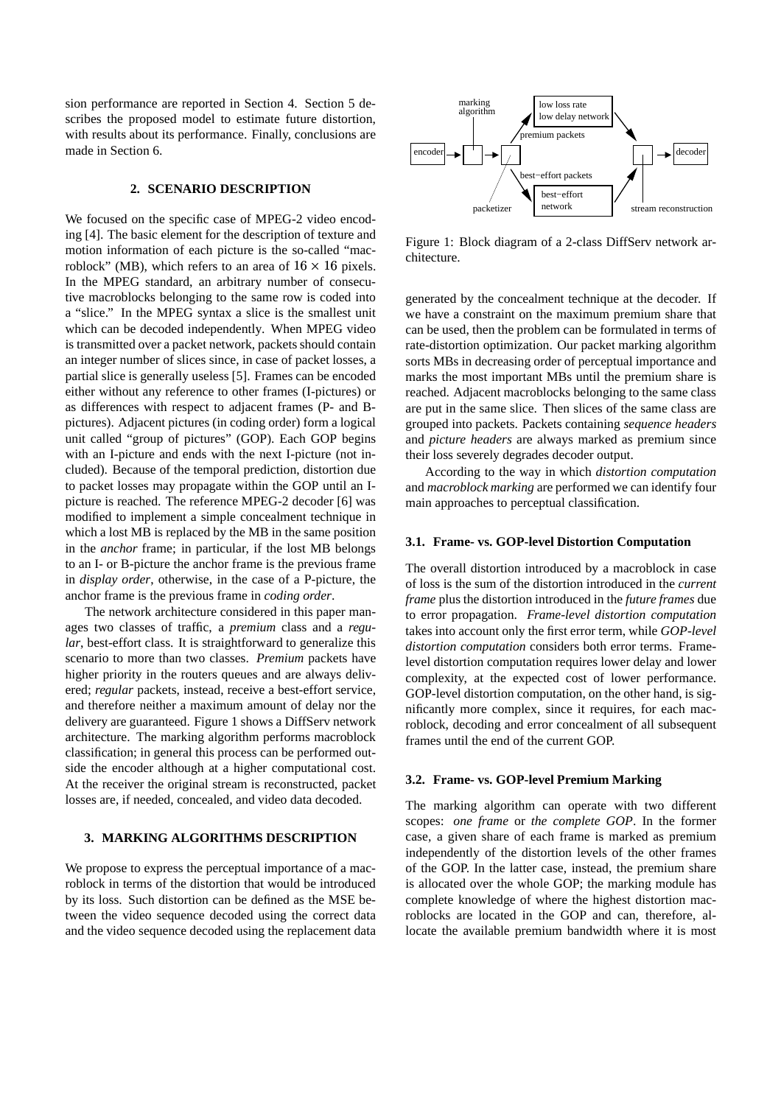sion performance are reported in Section 4. Section 5 describes the proposed model to estimate future distortion, with results about its performance. Finally, conclusions are made in Section 6.

## **2. SCENARIO DESCRIPTION**

We focused on the specific case of MPEG-2 video encoding [4]. The basic element for the description of texture and motion information of each picture is the so-called "macroblock" (MB), which refers to an area of  $16 \times 16$  pixels. In the MPEG standard, an arbitrary number of consecutive macroblocks belonging to the same row is coded into a "slice." In the MPEG syntax a slice is the smallest unit which can be decoded independently. When MPEG video is transmitted over a packet network, packets should contain an integer number of slices since, in case of packet losses, a partial slice is generally useless [5]. Frames can be encoded either without any reference to other frames (I-pictures) or as differences with respect to adjacent frames (P- and Bpictures). Adjacent pictures (in coding order) form a logical unit called "group of pictures" (GOP). Each GOP begins with an I-picture and ends with the next I-picture (not included). Because of the temporal prediction, distortion due to packet losses may propagate within the GOP until an Ipicture is reached. The reference MPEG-2 decoder [6] was modified to implement a simple concealment technique in which a lost MB is replaced by the MB in the same position in the *anchor* frame; in particular, if the lost MB belongs to an I- or B-picture the anchor frame is the previous frame in *display order*, otherwise, in the case of a P-picture, the anchor frame is the previous frame in *coding order*.

The network architecture considered in this paper manages two classes of traffic, a *premium* class and a *regular*, best-effort class. It is straightforward to generalize this scenario to more than two classes. *Premium* packets have higher priority in the routers queues and are always delivered; *regular* packets, instead, receive a best-effort service, and therefore neither a maximum amount of delay nor the delivery are guaranteed. Figure 1 shows a DiffServ network architecture. The marking algorithm performs macroblock classification; in general this process can be performed outside the encoder although at a higher computational cost. At the receiver the original stream is reconstructed, packet losses are, if needed, concealed, and video data decoded.

# **3. MARKING ALGORITHMS DESCRIPTION**

We propose to express the perceptual importance of a macroblock in terms of the distortion that would be introduced by its loss. Such distortion can be defined as the MSE between the video sequence decoded using the correct data and the video sequence decoded using the replacement data



Figure 1: Block diagram of a 2-class DiffServ network architecture.

generated by the concealment technique at the decoder. If we have a constraint on the maximum premium share that can be used, then the problem can be formulated in terms of rate-distortion optimization. Our packet marking algorithm sorts MBs in decreasing order of perceptual importance and marks the most important MBs until the premium share is reached. Adjacent macroblocks belonging to the same class are put in the same slice. Then slices of the same class are grouped into packets. Packets containing *sequence headers* and *picture headers* are always marked as premium since their loss severely degrades decoder output.

According to the way in which *distortion computation* and *macroblock marking* are performed we can identify four main approaches to perceptual classification.

### **3.1. Frame- vs. GOP-level Distortion Computation**

The overall distortion introduced by a macroblock in case of loss is the sum of the distortion introduced in the *current frame* plus the distortion introduced in the *future frames* due to error propagation. *Frame-level distortion computation* takes into account only the first error term, while *GOP-level distortion computation* considers both error terms. Framelevel distortion computation requires lower delay and lower complexity, at the expected cost of lower performance. GOP-level distortion computation, on the other hand, is significantly more complex, since it requires, for each macroblock, decoding and error concealment of all subsequent frames until the end of the current GOP.

#### **3.2. Frame- vs. GOP-level Premium Marking**

The marking algorithm can operate with two different scopes: *one frame* or *the complete GOP*. In the former case, a given share of each frame is marked as premium independently of the distortion levels of the other frames of the GOP. In the latter case, instead, the premium share is allocated over the whole GOP; the marking module has complete knowledge of where the highest distortion macroblocks are located in the GOP and can, therefore, allocate the available premium bandwidth where it is most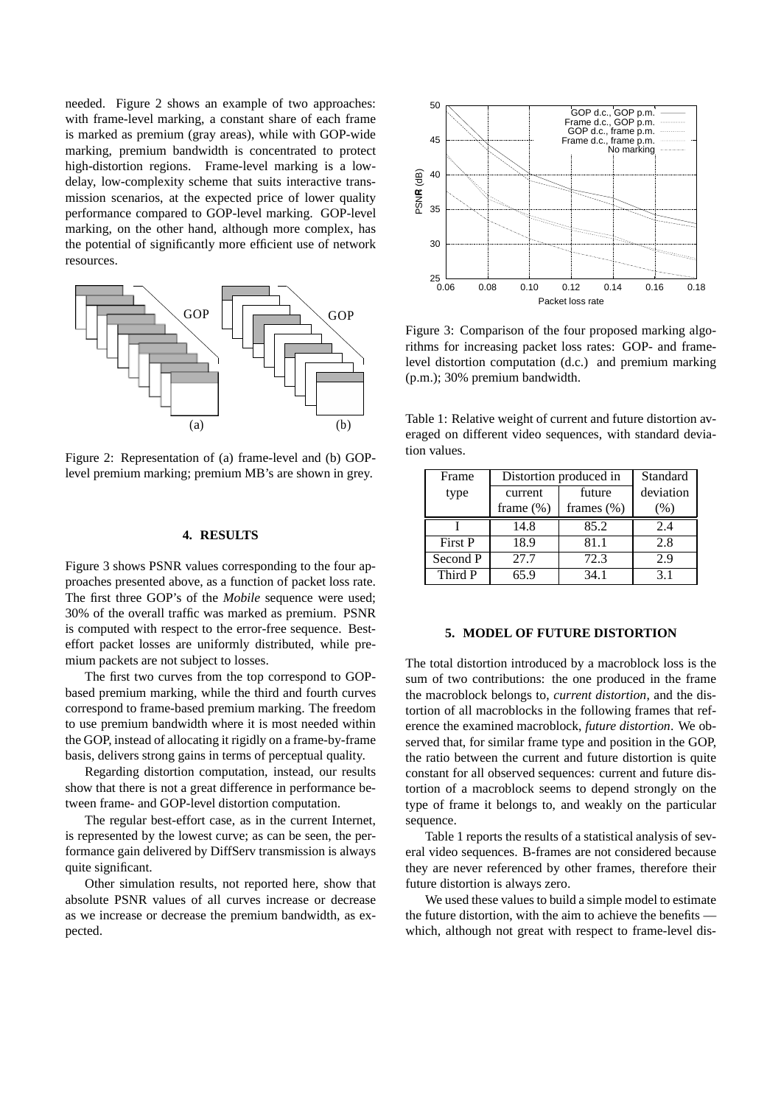needed. Figure 2 shows an example of two approaches: with frame-level marking, a constant share of each frame is marked as premium (gray areas), while with GOP-wide marking, premium bandwidth is concentrated to protect high-distortion regions. Frame-level marking is a lowdelay, low-complexity scheme that suits interactive transmission scenarios, at the expected price of lower quality performance compared to GOP-level marking. GOP-level marking, on the other hand, although more complex, has the potential of significantly more efficient use of network resources.



Figure 2: Representation of (a) frame-level and (b) GOPlevel premium marking; premium MB's are shown in grey.

## **4. RESULTS**

Figure 3 shows PSNR values corresponding to the four approaches presented above, as a function of packet loss rate. The first three GOP's of the *Mobile* sequence were used; 30% of the overall traffic was marked as premium. PSNR is computed with respect to the error-free sequence. Besteffort packet losses are uniformly distributed, while premium packets are not subject to losses.

The first two curves from the top correspond to GOPbased premium marking, while the third and fourth curves correspond to frame-based premium marking. The freedom to use premium bandwidth where it is most needed within the GOP, instead of allocating it rigidly on a frame-by-frame basis, delivers strong gains in terms of perceptual quality.

Regarding distortion computation, instead, our results show that there is not a great difference in performance between frame- and GOP-level distortion computation.

The regular best-effort case, as in the current Internet, is represented by the lowest curve; as can be seen, the performance gain delivered by DiffServ transmission is always quite significant.

Other simulation results, not reported here, show that absolute PSNR values of all curves increase or decrease as we increase or decrease the premium bandwidth, as expected.



Figure 3: Comparison of the four proposed marking algorithms for increasing packet loss rates: GOP- and framelevel distortion computation (d.c.) and premium marking (p.m.); 30% premium bandwidth.

Table 1: Relative weight of current and future distortion averaged on different video sequences, with standard deviation values.

| Frame    | Distortion produced in |               | Standard  |
|----------|------------------------|---------------|-----------|
| type     | current                | future        | deviation |
|          | frame $(\%)$           | frames $(\%)$ | $(\%)$    |
|          | 14.8                   | 85.2          | 2.4       |
| First P  | 18.9                   | 81.1          | 2.8       |
| Second P | 27.7                   | 72.3          | 2.9       |
| Third P  | 65.9                   | 34.1          | 31        |

#### **5. MODEL OF FUTURE DISTORTION**

The total distortion introduced by a macroblock loss is the sum of two contributions: the one produced in the frame the macroblock belongs to, *current distortion*, and the distortion of all macroblocks in the following frames that reference the examined macroblock, *future distortion*. We observed that, for similar frame type and position in the GOP, the ratio between the current and future distortion is quite constant for all observed sequences: current and future distortion of a macroblock seems to depend strongly on the type of frame it belongs to, and weakly on the particular sequence.

Table 1 reports the results of a statistical analysis of several video sequences. B-frames are not considered because they are never referenced by other frames, therefore their future distortion is always zero.

We used these values to build a simple model to estimate the future distortion, with the aim to achieve the benefits which, although not great with respect to frame-level dis-